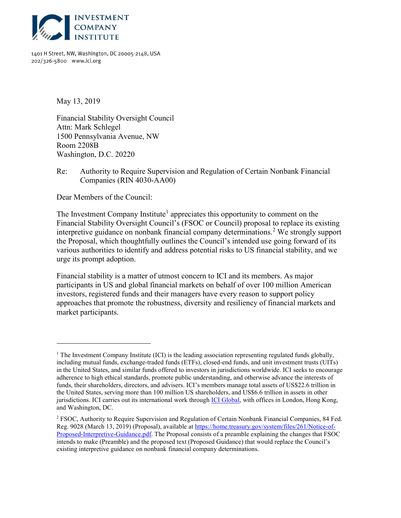

1401 H Street, NW, Washington, DC 20005-2148, USA 202/326-5800 www.ici.org

May 13, 2019

 $\overline{a}$ 

Financial Stability Oversight Council Attn: Mark Schlegel 1500 Pennsylvania Avenue, NW Room 2208B Washington, D.C. 20220

Re: Authority to Require Supervision and Regulation of Certain Nonbank Financial Companies (RIN 4030-AA00)

Dear Members of the Council:

The Investment Company Institute<sup>1</sup> appreciates this opportunity to comment on the Financial Stability Oversight Council's (FSOC or Council) proposal to replace its existing interpretive guidance on nonbank financial company determinations.<sup>2</sup> We strongly support the Proposal, which thoughtfully outlines the Council's intended use going forward of its various authorities to identify and address potential risks to US financial stability, and we urge its prompt adoption.

Financial stability is a matter of utmost concern to ICI and its members. As major participants in US and global financial markets on behalf of over 100 million American investors, registered funds and their managers have every reason to support policy approaches that promote the robustness, diversity and resiliency of financial markets and market participants.

<sup>&</sup>lt;sup>1</sup> The Investment Company Institute (ICI) is the leading association representing regulated funds globally, including mutual funds, exchange-traded funds (ETFs), closed-end funds, and unit investment trusts (UITs) in the United States, and similar funds offered to investors in jurisdictions worldwide. ICI seeks to encourage adherence to high ethical standards, promote public understanding, and otherwise advance the interests of funds, their shareholders, directors, and advisers. ICI's members manage total assets of US\$22.6 trillion in the United States, serving more than 100 million US shareholders, and US\$6.6 trillion in assets in other jurisdictions. ICI carries out its international work through ICI Global, with offices in London, Hong Kong, and Washington, DC.

<sup>&</sup>lt;sup>2</sup> FSOC, Authority to Require Supervision and Regulation of Certain Nonbank Financial Companies, 84 Fed. Reg. 9028 (March 13, 2019) (Proposal), available at https://home.treasury.gov/system/files/261/Notice-of-Proposed-Interpretive-Guidance.pdf. The Proposal consists of a preamble explaining the changes that FSOC intends to make (Preamble) and the proposed text (Proposed Guidance) that would replace the Council's existing interpretive guidance on nonbank financial company determinations.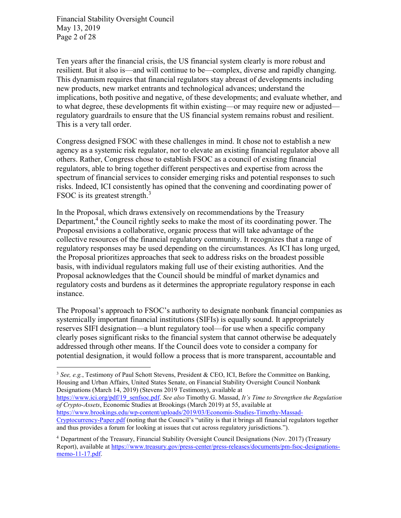Financial Stability Oversight Council May 13, 2019 Page 2 of 28

 $\overline{a}$ 

Ten years after the financial crisis, the US financial system clearly is more robust and resilient. But it also is—and will continue to be—complex, diverse and rapidly changing. This dynamism requires that financial regulators stay abreast of developments including new products, new market entrants and technological advances; understand the implications, both positive and negative, of these developments; and evaluate whether, and to what degree, these developments fit within existing—or may require new or adjusted regulatory guardrails to ensure that the US financial system remains robust and resilient. This is a very tall order.

Congress designed FSOC with these challenges in mind. It chose not to establish a new agency as a systemic risk regulator, nor to elevate an existing financial regulator above all others. Rather, Congress chose to establish FSOC as a council of existing financial regulators, able to bring together different perspectives and expertise from across the spectrum of financial services to consider emerging risks and potential responses to such risks. Indeed, ICI consistently has opined that the convening and coordinating power of FSOC is its greatest strength.<sup>3</sup>

In the Proposal, which draws extensively on recommendations by the Treasury Department,<sup>4</sup> the Council rightly seeks to make the most of its coordinating power. The Proposal envisions a collaborative, organic process that will take advantage of the collective resources of the financial regulatory community. It recognizes that a range of regulatory responses may be used depending on the circumstances. As ICI has long urged, the Proposal prioritizes approaches that seek to address risks on the broadest possible basis, with individual regulators making full use of their existing authorities. And the Proposal acknowledges that the Council should be mindful of market dynamics and regulatory costs and burdens as it determines the appropriate regulatory response in each instance.

The Proposal's approach to FSOC's authority to designate nonbank financial companies as systemically important financial institutions (SIFIs) is equally sound. It appropriately reserves SIFI designation—a blunt regulatory tool—for use when a specific company clearly poses significant risks to the financial system that cannot otherwise be adequately addressed through other means. If the Council does vote to consider a company for potential designation, it would follow a process that is more transparent, accountable and

https://www.ici.org/pdf/19\_senfsoc.pdf. See also Timothy G. Massad, It's Time to Strengthen the Regulation of Crypto-Assets, Economic Studies at Brookings (March 2019) at 55, available at https://www.brookings.edu/wp-content/uploads/2019/03/Economis-Studies-Timothy-Massad-

<sup>&</sup>lt;sup>3</sup> See, e.g., Testimony of Paul Schott Stevens, President & CEO, ICI, Before the Committee on Banking, Housing and Urban Affairs, United States Senate, on Financial Stability Oversight Council Nonbank Designations (March 14, 2019) (Stevens 2019 Testimony), available at

Cryptocurrency-Paper.pdf (noting that the Council's "utility is that it brings all financial regulators together and thus provides a forum for looking at issues that cut across regulatory jurisdictions.").

<sup>4</sup> Department of the Treasury, Financial Stability Oversight Council Designations (Nov. 2017) (Treasury Report), available at https://www.treasury.gov/press-center/press-releases/documents/pm-fsoc-designationsmemo-11-17.pdf.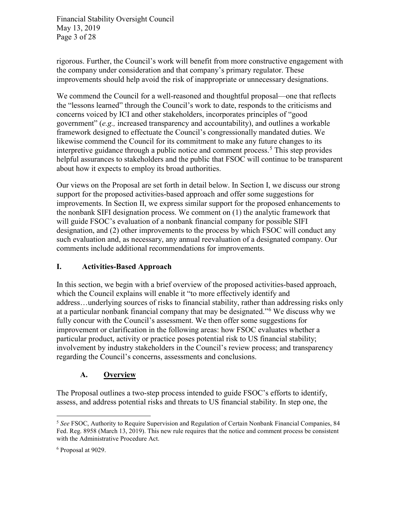Financial Stability Oversight Council May 13, 2019 Page 3 of 28

rigorous. Further, the Council's work will benefit from more constructive engagement with the company under consideration and that company's primary regulator. These improvements should help avoid the risk of inappropriate or unnecessary designations.

We commend the Council for a well-reasoned and thoughtful proposal—one that reflects the "lessons learned" through the Council's work to date, responds to the criticisms and concerns voiced by ICI and other stakeholders, incorporates principles of "good government"  $(e.g.,$  increased transparency and accountability), and outlines a workable framework designed to effectuate the Council's congressionally mandated duties. We likewise commend the Council for its commitment to make any future changes to its interpretive guidance through a public notice and comment process.<sup>5</sup> This step provides helpful assurances to stakeholders and the public that FSOC will continue to be transparent about how it expects to employ its broad authorities.

Our views on the Proposal are set forth in detail below. In Section I, we discuss our strong support for the proposed activities-based approach and offer some suggestions for improvements. In Section II, we express similar support for the proposed enhancements to the nonbank SIFI designation process. We comment on (1) the analytic framework that will guide FSOC's evaluation of a nonbank financial company for possible SIFI designation, and (2) other improvements to the process by which FSOC will conduct any such evaluation and, as necessary, any annual reevaluation of a designated company. Our comments include additional recommendations for improvements.

#### I. Activities-Based Approach

In this section, we begin with a brief overview of the proposed activities-based approach, which the Council explains will enable it "to more effectively identify and address…underlying sources of risks to financial stability, rather than addressing risks only at a particular nonbank financial company that may be designated."<sup>6</sup> We discuss why we fully concur with the Council's assessment. We then offer some suggestions for improvement or clarification in the following areas: how FSOC evaluates whether a particular product, activity or practice poses potential risk to US financial stability; involvement by industry stakeholders in the Council's review process; and transparency regarding the Council's concerns, assessments and conclusions.

#### A. Overview

The Proposal outlines a two-step process intended to guide FSOC's efforts to identify, assess, and address potential risks and threats to US financial stability. In step one, the

<sup>&</sup>lt;sup>5</sup> See FSOC, Authority to Require Supervision and Regulation of Certain Nonbank Financial Companies, 84 Fed. Reg. 8958 (March 13, 2019). This new rule requires that the notice and comment process be consistent with the Administrative Procedure Act.

<sup>6</sup> Proposal at 9029.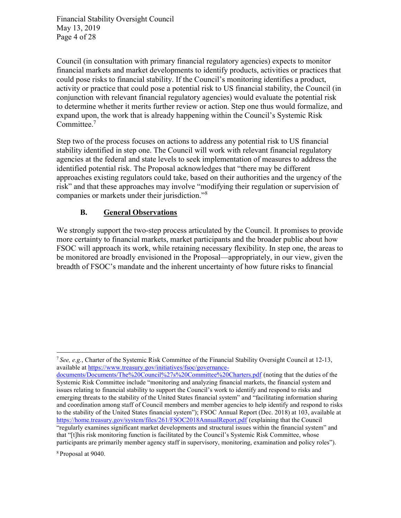Financial Stability Oversight Council May 13, 2019 Page 4 of 28

Council (in consultation with primary financial regulatory agencies) expects to monitor financial markets and market developments to identify products, activities or practices that could pose risks to financial stability. If the Council's monitoring identifies a product, activity or practice that could pose a potential risk to US financial stability, the Council (in conjunction with relevant financial regulatory agencies) would evaluate the potential risk to determine whether it merits further review or action. Step one thus would formalize, and expand upon, the work that is already happening within the Council's Systemic Risk Committee.<sup>7</sup>

Step two of the process focuses on actions to address any potential risk to US financial stability identified in step one. The Council will work with relevant financial regulatory agencies at the federal and state levels to seek implementation of measures to address the identified potential risk. The Proposal acknowledges that "there may be different approaches existing regulators could take, based on their authorities and the urgency of the risk" and that these approaches may involve "modifying their regulation or supervision of companies or markets under their jurisdiction."<sup>8</sup>

## B. General Observations

We strongly support the two-step process articulated by the Council. It promises to provide more certainty to financial markets, market participants and the broader public about how FSOC will approach its work, while retaining necessary flexibility. In step one, the areas to be monitored are broadly envisioned in the Proposal—appropriately, in our view, given the breadth of FSOC's mandate and the inherent uncertainty of how future risks to financial

8 Proposal at 9040.

 $\overline{a}$ <sup>7</sup> See, e.g., Charter of the Systemic Risk Committee of the Financial Stability Oversight Council at 12-13, available at https://www.treasury.gov/initiatives/fsoc/governance-

documents/Documents/The%20Council%27s%20Committee%20Charters.pdf (noting that the duties of the Systemic Risk Committee include "monitoring and analyzing financial markets, the financial system and issues relating to financial stability to support the Council's work to identify and respond to risks and emerging threats to the stability of the United States financial system" and "facilitating information sharing and coordination among staff of Council members and member agencies to help identify and respond to risks to the stability of the United States financial system"); FSOC Annual Report (Dec. 2018) at 103, available at https://home.treasury.gov/system/files/261/FSOC2018AnnualReport.pdf (explaining that the Council "regularly examines significant market developments and structural issues within the financial system" and that "[t]his risk monitoring function is facilitated by the Council's Systemic Risk Committee, whose participants are primarily member agency staff in supervisory, monitoring, examination and policy roles").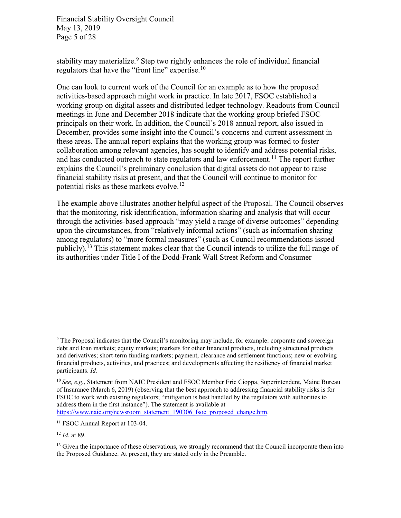Financial Stability Oversight Council May 13, 2019 Page 5 of 28

stability may materialize.<sup>9</sup> Step two rightly enhances the role of individual financial regulators that have the "front line" expertise.<sup>10</sup>

One can look to current work of the Council for an example as to how the proposed activities-based approach might work in practice. In late 2017, FSOC established a working group on digital assets and distributed ledger technology. Readouts from Council meetings in June and December 2018 indicate that the working group briefed FSOC principals on their work. In addition, the Council's 2018 annual report, also issued in December, provides some insight into the Council's concerns and current assessment in these areas. The annual report explains that the working group was formed to foster collaboration among relevant agencies, has sought to identify and address potential risks, and has conducted outreach to state regulators and law enforcement.<sup>11</sup> The report further explains the Council's preliminary conclusion that digital assets do not appear to raise financial stability risks at present, and that the Council will continue to monitor for potential risks as these markets evolve.<sup>12</sup>

The example above illustrates another helpful aspect of the Proposal. The Council observes that the monitoring, risk identification, information sharing and analysis that will occur through the activities-based approach "may yield a range of diverse outcomes" depending upon the circumstances, from "relatively informal actions" (such as information sharing among regulators) to "more formal measures" (such as Council recommendations issued publicly).<sup>13</sup> This statement makes clear that the Council intends to utilize the full range of its authorities under Title I of the Dodd-Frank Wall Street Reform and Consumer

https://www.naic.org/newsroom\_statement\_190306\_fsoc\_proposed\_change.htm.

<sup>&</sup>lt;sup>9</sup> The Proposal indicates that the Council's monitoring may include, for example: corporate and sovereign debt and loan markets; equity markets; markets for other financial products, including structured products and derivatives; short-term funding markets; payment, clearance and settlement functions; new or evolving financial products, activities, and practices; and developments affecting the resiliency of financial market participants. Id.

 $10$  See, e.g., Statement from NAIC President and FSOC Member Eric Cioppa, Superintendent, Maine Bureau of Insurance (March 6, 2019) (observing that the best approach to addressing financial stability risks is for FSOC to work with existing regulators; "mitigation is best handled by the regulators with authorities to address them in the first instance"). The statement is available at

<sup>&</sup>lt;sup>11</sup> FSOC Annual Report at 103-04.

 $12$  *Id.* at 89.

<sup>&</sup>lt;sup>13</sup> Given the importance of these observations, we strongly recommend that the Council incorporate them into the Proposed Guidance. At present, they are stated only in the Preamble.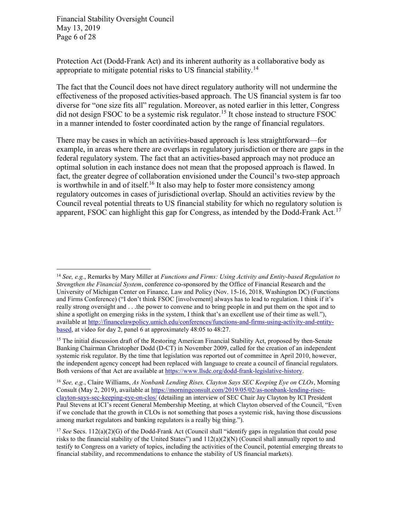Financial Stability Oversight Council May 13, 2019 Page 6 of 28

 $\overline{a}$ 

Protection Act (Dodd-Frank Act) and its inherent authority as a collaborative body as appropriate to mitigate potential risks to US financial stability.<sup>14</sup>

The fact that the Council does not have direct regulatory authority will not undermine the effectiveness of the proposed activities-based approach. The US financial system is far too diverse for "one size fits all" regulation. Moreover, as noted earlier in this letter, Congress did not design FSOC to be a systemic risk regulator.<sup>15</sup> It chose instead to structure FSOC in a manner intended to foster coordinated action by the range of financial regulators.

There may be cases in which an activities-based approach is less straightforward—for example, in areas where there are overlaps in regulatory jurisdiction or there are gaps in the federal regulatory system. The fact that an activities-based approach may not produce an optimal solution in each instance does not mean that the proposed approach is flawed. In fact, the greater degree of collaboration envisioned under the Council's two-step approach is worthwhile in and of itself.<sup>16</sup> It also may help to foster more consistency among regulatory outcomes in cases of jurisdictional overlap. Should an activities review by the Council reveal potential threats to US financial stability for which no regulatory solution is apparent, FSOC can highlight this gap for Congress, as intended by the Dodd-Frank Act.<sup>17</sup>

<sup>&</sup>lt;sup>14</sup> See, e.g., Remarks by Mary Miller at Functions and Firms: Using Activity and Entity-based Regulation to Strengthen the Financial System, conference co-sponsored by the Office of Financial Research and the University of Michigan Center on Finance, Law and Policy (Nov. 15-16, 2018, Washington DC) (Functions and Firms Conference) ("I don't think FSOC [involvement] always has to lead to regulation. I think if it's really strong oversight and . . .the power to convene and to bring people in and put them on the spot and to shine a spotlight on emerging risks in the system, I think that's an excellent use of their time as well."), available at http://financelawpolicy.umich.edu/conferences/functions-and-firms-using-activity-and-entitybased, at video for day 2, panel 6 at approximately 48:05 to 48:27.

<sup>&</sup>lt;sup>15</sup> The initial discussion draft of the Restoring American Financial Stability Act, proposed by then-Senate Banking Chairman Christopher Dodd (D-CT) in November 2009, called for the creation of an independent systemic risk regulator. By the time that legislation was reported out of committee in April 2010, however, the independent agency concept had been replaced with language to create a council of financial regulators. Both versions of that Act are available at https://www.llsdc.org/dodd-frank-legislative-history.

<sup>&</sup>lt;sup>16</sup> See, e.g., Claire Williams, As Nonbank Lending Rises, Clayton Says SEC Keeping Eye on CLOs, Morning Consult (May 2, 2019), available at https://morningconsult.com/2019/05/02/as-nonbank-lending-risesclayton-says-sec-keeping-eye-on-clos/ (detailing an interview of SEC Chair Jay Clayton by ICI President Paul Stevens at ICI's recent General Membership Meeting, at which Clayton observed of the Council, "Even if we conclude that the growth in CLOs is not something that poses a systemic risk, having those discussions among market regulators and banking regulators is a really big thing.").

<sup>&</sup>lt;sup>17</sup> See Secs.  $112(a)(2)(G)$  of the Dodd-Frank Act (Council shall "identify gaps in regulation that could pose risks to the financial stability of the United States") and 112(a)(2)(N) (Council shall annually report to and testify to Congress on a variety of topics, including the activities of the Council, potential emerging threats to financial stability, and recommendations to enhance the stability of US financial markets).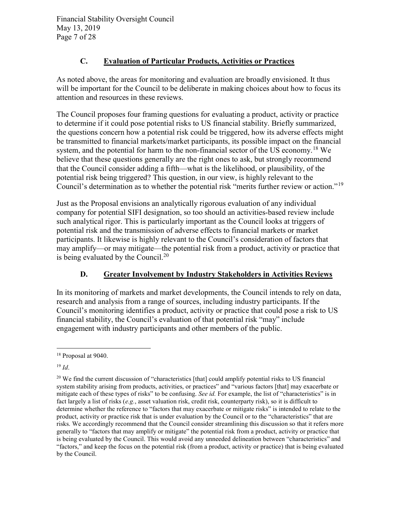Financial Stability Oversight Council May 13, 2019 Page 7 of 28

# C. Evaluation of Particular Products, Activities or Practices

As noted above, the areas for monitoring and evaluation are broadly envisioned. It thus will be important for the Council to be deliberate in making choices about how to focus its attention and resources in these reviews.

The Council proposes four framing questions for evaluating a product, activity or practice to determine if it could pose potential risks to US financial stability. Briefly summarized, the questions concern how a potential risk could be triggered, how its adverse effects might be transmitted to financial markets/market participants, its possible impact on the financial system, and the potential for harm to the non-financial sector of the US economy.<sup>18</sup> We believe that these questions generally are the right ones to ask, but strongly recommend that the Council consider adding a fifth—what is the likelihood, or plausibility, of the potential risk being triggered? This question, in our view, is highly relevant to the Council's determination as to whether the potential risk "merits further review or action."<sup>19</sup>

Just as the Proposal envisions an analytically rigorous evaluation of any individual company for potential SIFI designation, so too should an activities-based review include such analytical rigor. This is particularly important as the Council looks at triggers of potential risk and the transmission of adverse effects to financial markets or market participants. It likewise is highly relevant to the Council's consideration of factors that may amplify—or may mitigate—the potential risk from a product, activity or practice that is being evaluated by the Council. $^{20}$ 

# D. Greater Involvement by Industry Stakeholders in Activities Reviews

In its monitoring of markets and market developments, the Council intends to rely on data, research and analysis from a range of sources, including industry participants. If the Council's monitoring identifies a product, activity or practice that could pose a risk to US financial stability, the Council's evaluation of that potential risk "may" include engagement with industry participants and other members of the public.

 $^{19}$  *Id.* 

<sup>18</sup> Proposal at 9040.

<sup>&</sup>lt;sup>20</sup> We find the current discussion of "characteristics [that] could amplify potential risks to US financial system stability arising from products, activities, or practices" and "various factors [that] may exacerbate or mitigate each of these types of risks" to be confusing. See id. For example, the list of "characteristics" is in fact largely a list of risks (e.g., asset valuation risk, credit risk, counterparty risk), so it is difficult to determine whether the reference to "factors that may exacerbate or mitigate risks" is intended to relate to the product, activity or practice risk that is under evaluation by the Council or to the "characteristics" that are risks. We accordingly recommend that the Council consider streamlining this discussion so that it refers more generally to "factors that may amplify or mitigate" the potential risk from a product, activity or practice that is being evaluated by the Council. This would avoid any unneeded delineation between "characteristics" and "factors," and keep the focus on the potential risk (from a product, activity or practice) that is being evaluated by the Council.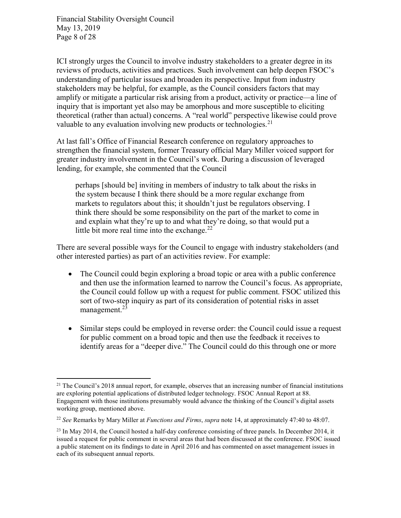Financial Stability Oversight Council May 13, 2019 Page 8 of 28

ICI strongly urges the Council to involve industry stakeholders to a greater degree in its reviews of products, activities and practices. Such involvement can help deepen FSOC's understanding of particular issues and broaden its perspective. Input from industry stakeholders may be helpful, for example, as the Council considers factors that may amplify or mitigate a particular risk arising from a product, activity or practice—a line of inquiry that is important yet also may be amorphous and more susceptible to eliciting theoretical (rather than actual) concerns. A "real world" perspective likewise could prove valuable to any evaluation involving new products or technologies. $21$ 

At last fall's Office of Financial Research conference on regulatory approaches to strengthen the financial system, former Treasury official Mary Miller voiced support for greater industry involvement in the Council's work. During a discussion of leveraged lending, for example, she commented that the Council

perhaps [should be] inviting in members of industry to talk about the risks in the system because I think there should be a more regular exchange from markets to regulators about this; it shouldn't just be regulators observing. I think there should be some responsibility on the part of the market to come in and explain what they're up to and what they're doing, so that would put a little bit more real time into the exchange. $^{22}$ 

There are several possible ways for the Council to engage with industry stakeholders (and other interested parties) as part of an activities review. For example:

- The Council could begin exploring a broad topic or area with a public conference and then use the information learned to narrow the Council's focus. As appropriate, the Council could follow up with a request for public comment. FSOC utilized this sort of two-step inquiry as part of its consideration of potential risks in asset management. $^{23}$
- Similar steps could be employed in reverse order: the Council could issue a request for public comment on a broad topic and then use the feedback it receives to identify areas for a "deeper dive." The Council could do this through one or more

 $\overline{a}$ <sup>21</sup> The Council's 2018 annual report, for example, observes that an increasing number of financial institutions are exploring potential applications of distributed ledger technology. FSOC Annual Report at 88. Engagement with those institutions presumably would advance the thinking of the Council's digital assets working group, mentioned above.

<sup>&</sup>lt;sup>22</sup> See Remarks by Mary Miller at *Functions and Firms, supra* note 14, at approximately 47:40 to 48:07.

 $^{23}$  In May 2014, the Council hosted a half-day conference consisting of three panels. In December 2014, it issued a request for public comment in several areas that had been discussed at the conference. FSOC issued a public statement on its findings to date in April 2016 and has commented on asset management issues in each of its subsequent annual reports.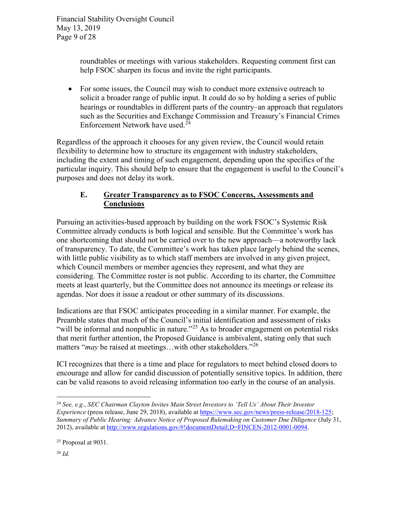Financial Stability Oversight Council May 13, 2019 Page 9 of 28

> roundtables or meetings with various stakeholders. Requesting comment first can help FSOC sharpen its focus and invite the right participants.

• For some issues, the Council may wish to conduct more extensive outreach to solicit a broader range of public input. It could do so by holding a series of public hearings or roundtables in different parts of the country–an approach that regulators such as the Securities and Exchange Commission and Treasury's Financial Crimes Enforcement Network have used.<sup>24</sup>

Regardless of the approach it chooses for any given review, the Council would retain flexibility to determine how to structure its engagement with industry stakeholders, including the extent and timing of such engagement, depending upon the specifics of the particular inquiry. This should help to ensure that the engagement is useful to the Council's purposes and does not delay its work.

## E. Greater Transparency as to FSOC Concerns, Assessments and **Conclusions**

Pursuing an activities-based approach by building on the work FSOC's Systemic Risk Committee already conducts is both logical and sensible. But the Committee's work has one shortcoming that should not be carried over to the new approach—a noteworthy lack of transparency. To date, the Committee's work has taken place largely behind the scenes, with little public visibility as to which staff members are involved in any given project, which Council members or member agencies they represent, and what they are considering. The Committee roster is not public. According to its charter, the Committee meets at least quarterly, but the Committee does not announce its meetings or release its agendas. Nor does it issue a readout or other summary of its discussions.

Indications are that FSOC anticipates proceeding in a similar manner. For example, the Preamble states that much of the Council's initial identification and assessment of risks "will be informal and nonpublic in nature."<sup>25</sup> As to broader engagement on potential risks that merit further attention, the Proposed Guidance is ambivalent, stating only that such matters "*may* be raised at meetings...with other stakeholders."<sup>26</sup>

ICI recognizes that there is a time and place for regulators to meet behind closed doors to encourage and allow for candid discussion of potentially sensitive topics. In addition, there can be valid reasons to avoid releasing information too early in the course of an analysis.

 $26$  *Id.* 

 $\overline{a}$ <sup>24</sup> See, e.g., SEC Chairman Clayton Invites Main Street Investors to 'Tell Us' About Their Investor Experience (press release, June 29, 2018), available at https://www.sec.gov/news/press-release/2018-125; Summary of Public Hearing: Advance Notice of Proposed Rulemaking on Customer Due Diligence (July 31, 2012), available at http://www.regulations.gov/#!documentDetail;D=FINCEN-2012-0001-0094.

<sup>25</sup> Proposal at 9031.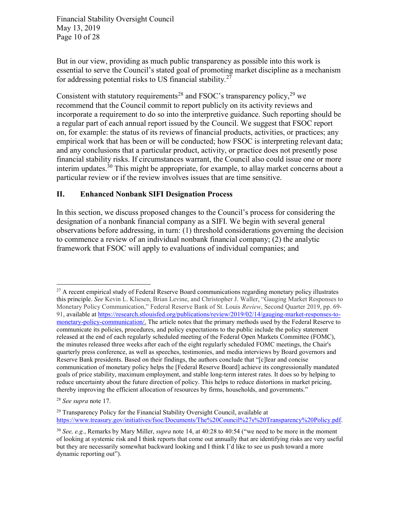Financial Stability Oversight Council May 13, 2019 Page 10 of 28

But in our view, providing as much public transparency as possible into this work is essential to serve the Council's stated goal of promoting market discipline as a mechanism for addressing potential risks to US financial stability. $27$ 

Consistent with statutory requirements<sup>28</sup> and FSOC's transparency policy, <sup>29</sup> we recommend that the Council commit to report publicly on its activity reviews and incorporate a requirement to do so into the interpretive guidance. Such reporting should be a regular part of each annual report issued by the Council. We suggest that FSOC report on, for example: the status of its reviews of financial products, activities, or practices; any empirical work that has been or will be conducted; how FSOC is interpreting relevant data; and any conclusions that a particular product, activity, or practice does not presently pose financial stability risks. If circumstances warrant, the Council also could issue one or more interim updates.<sup>30</sup> This might be appropriate, for example, to allay market concerns about a particular review or if the review involves issues that are time sensitive.

#### II. Enhanced Nonbank SIFI Designation Process

In this section, we discuss proposed changes to the Council's process for considering the designation of a nonbank financial company as a SIFI. We begin with several general observations before addressing, in turn: (1) threshold considerations governing the decision to commence a review of an individual nonbank financial company; (2) the analytic framework that FSOC will apply to evaluations of individual companies; and

<sup>&</sup>lt;sup>27</sup> A recent empirical study of Federal Reserve Board communications regarding monetary policy illustrates this principle. See Kevin L. Kliesen, Brian Levine, and Christopher J. Waller, "Gauging Market Responses to Monetary Policy Communication," Federal Reserve Bank of St. Louis Review, Second Quarter 2019, pp. 69- 91, available at https://research.stlouisfed.org/publications/review/2019/02/14/gauging-market-responses-tomonetary-policy-communication/. The article notes that the primary methods used by the Federal Reserve to communicate its policies, procedures, and policy expectations to the public include the policy statement released at the end of each regularly scheduled meeting of the Federal Open Markets Committee (FOMC), the minutes released three weeks after each of the eight regularly scheduled FOMC meetings, the Chair's quarterly press conference, as well as speeches, testimonies, and media interviews by Board governors and Reserve Bank presidents. Based on their findings, the authors conclude that "[c]lear and concise communication of monetary policy helps the [Federal Reserve Board] achieve its congressionally mandated goals of price stability, maximum employment, and stable long-term interest rates. It does so by helping to reduce uncertainty about the future direction of policy. This helps to reduce distortions in market pricing, thereby improving the efficient allocation of resources by firms, households, and governments."

<sup>28</sup> See supra note 17.

<sup>&</sup>lt;sup>29</sup> Transparency Policy for the Financial Stability Oversight Council, available at https://www.treasury.gov/initiatives/fsoc/Documents/The%20Council%27s%20Transparency%20Policy.pdf.

 $30$  See, e.g., Remarks by Mary Miller, *supra* note 14, at 40:28 to 40:54 ("we need to be more in the moment of looking at systemic risk and I think reports that come out annually that are identifying risks are very useful but they are necessarily somewhat backward looking and I think I'd like to see us push toward a more dynamic reporting out").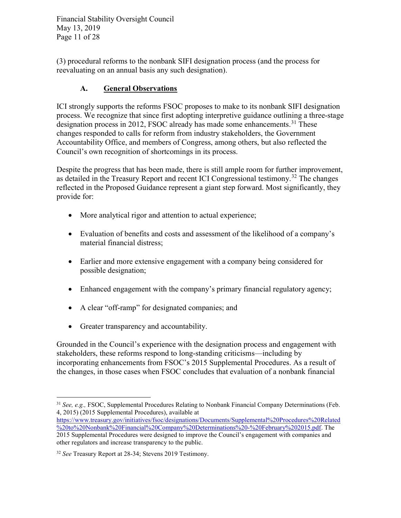Financial Stability Oversight Council May 13, 2019 Page 11 of 28

(3) procedural reforms to the nonbank SIFI designation process (and the process for reevaluating on an annual basis any such designation).

# A. General Observations

ICI strongly supports the reforms FSOC proposes to make to its nonbank SIFI designation process. We recognize that since first adopting interpretive guidance outlining a three-stage designation process in 2012, FSOC already has made some enhancements.<sup>31</sup> These changes responded to calls for reform from industry stakeholders, the Government Accountability Office, and members of Congress, among others, but also reflected the Council's own recognition of shortcomings in its process.

Despite the progress that has been made, there is still ample room for further improvement, as detailed in the Treasury Report and recent ICI Congressional testimony.<sup>32</sup> The changes reflected in the Proposed Guidance represent a giant step forward. Most significantly, they provide for:

- More analytical rigor and attention to actual experience;
- Evaluation of benefits and costs and assessment of the likelihood of a company's material financial distress;
- Earlier and more extensive engagement with a company being considered for possible designation;
- Enhanced engagement with the company's primary financial regulatory agency;
- A clear "off-ramp" for designated companies; and
- Greater transparency and accountability.

Grounded in the Council's experience with the designation process and engagement with stakeholders, these reforms respond to long-standing criticisms—including by incorporating enhancements from FSOC's 2015 Supplemental Procedures. As a result of the changes, in those cases when FSOC concludes that evaluation of a nonbank financial

 $\overline{a}$  $31$  See, e.g., FSOC, Supplemental Procedures Relating to Nonbank Financial Company Determinations (Feb. 4, 2015) (2015 Supplemental Procedures), available at

https://www.treasury.gov/initiatives/fsoc/designations/Documents/Supplemental%20Procedures%20Related %20to%20Nonbank%20Financial%20Company%20Determinations%20-%20February%202015.pdf. The 2015 Supplemental Procedures were designed to improve the Council's engagement with companies and other regulators and increase transparency to the public.

<sup>&</sup>lt;sup>32</sup> See Treasury Report at 28-34; Stevens 2019 Testimony.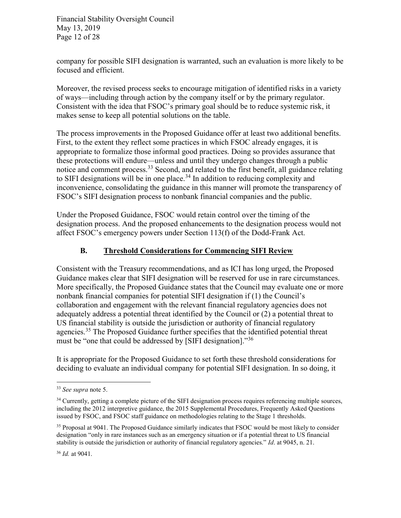Financial Stability Oversight Council May 13, 2019 Page 12 of 28

company for possible SIFI designation is warranted, such an evaluation is more likely to be focused and efficient.

Moreover, the revised process seeks to encourage mitigation of identified risks in a variety of ways—including through action by the company itself or by the primary regulator. Consistent with the idea that FSOC's primary goal should be to reduce systemic risk, it makes sense to keep all potential solutions on the table.

The process improvements in the Proposed Guidance offer at least two additional benefits. First, to the extent they reflect some practices in which FSOC already engages, it is appropriate to formalize those informal good practices. Doing so provides assurance that these protections will endure—unless and until they undergo changes through a public notice and comment process.<sup>33</sup> Second, and related to the first benefit, all guidance relating to SIFI designations will be in one place.<sup>34</sup> In addition to reducing complexity and inconvenience, consolidating the guidance in this manner will promote the transparency of FSOC's SIFI designation process to nonbank financial companies and the public.

Under the Proposed Guidance, FSOC would retain control over the timing of the designation process. And the proposed enhancements to the designation process would not affect FSOC's emergency powers under Section 113(f) of the Dodd-Frank Act.

#### B. Threshold Considerations for Commencing SIFI Review

Consistent with the Treasury recommendations, and as ICI has long urged, the Proposed Guidance makes clear that SIFI designation will be reserved for use in rare circumstances. More specifically, the Proposed Guidance states that the Council may evaluate one or more nonbank financial companies for potential SIFI designation if (1) the Council's collaboration and engagement with the relevant financial regulatory agencies does not adequately address a potential threat identified by the Council or (2) a potential threat to US financial stability is outside the jurisdiction or authority of financial regulatory agencies.<sup>35</sup> The Proposed Guidance further specifies that the identified potential threat must be "one that could be addressed by [SIFI designation]."<sup>36</sup>

It is appropriate for the Proposed Guidance to set forth these threshold considerations for deciding to evaluate an individual company for potential SIFI designation. In so doing, it

<sup>&</sup>lt;sup>33</sup> See supra note 5.

<sup>&</sup>lt;sup>34</sup> Currently, getting a complete picture of the SIFI designation process requires referencing multiple sources, including the 2012 interpretive guidance, the 2015 Supplemental Procedures, Frequently Asked Questions issued by FSOC, and FSOC staff guidance on methodologies relating to the Stage 1 thresholds.

<sup>&</sup>lt;sup>35</sup> Proposal at 9041. The Proposed Guidance similarly indicates that FSOC would be most likely to consider designation "only in rare instances such as an emergency situation or if a potential threat to US financial stability is outside the jurisdiction or authority of financial regulatory agencies." Id. at 9045, n. 21.

<sup>36</sup> Id. at 9041.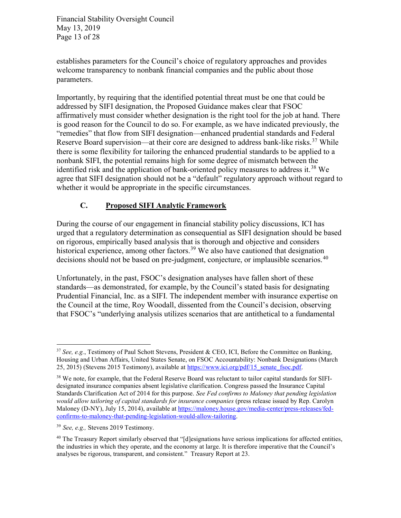Financial Stability Oversight Council May 13, 2019 Page 13 of 28

establishes parameters for the Council's choice of regulatory approaches and provides welcome transparency to nonbank financial companies and the public about those parameters.

Importantly, by requiring that the identified potential threat must be one that could be addressed by SIFI designation, the Proposed Guidance makes clear that FSOC affirmatively must consider whether designation is the right tool for the job at hand. There is good reason for the Council to do so. For example, as we have indicated previously, the "remedies" that flow from SIFI designation—enhanced prudential standards and Federal Reserve Board supervision—at their core are designed to address bank-like risks.<sup>37</sup> While there is some flexibility for tailoring the enhanced prudential standards to be applied to a nonbank SIFI, the potential remains high for some degree of mismatch between the identified risk and the application of bank-oriented policy measures to address it.<sup>38</sup> We agree that SIFI designation should not be a "default" regulatory approach without regard to whether it would be appropriate in the specific circumstances.

## C. Proposed SIFI Analytic Framework

During the course of our engagement in financial stability policy discussions, ICI has urged that a regulatory determination as consequential as SIFI designation should be based on rigorous, empirically based analysis that is thorough and objective and considers historical experience, among other factors.<sup>39</sup> We also have cautioned that designation decisions should not be based on pre-judgment, conjecture, or implausible scenarios.<sup>40</sup>

Unfortunately, in the past, FSOC's designation analyses have fallen short of these standards—as demonstrated, for example, by the Council's stated basis for designating Prudential Financial, Inc. as a SIFI. The independent member with insurance expertise on the Council at the time, Roy Woodall, dissented from the Council's decision, observing that FSOC's "underlying analysis utilizes scenarios that are antithetical to a fundamental

<sup>&</sup>lt;sup>37</sup> See, e.g., Testimony of Paul Schott Stevens, President & CEO, ICI, Before the Committee on Banking, Housing and Urban Affairs, United States Senate, on FSOC Accountability: Nonbank Designations (March 25, 2015) (Stevens 2015 Testimony), available at https://www.ici.org/pdf/15\_senate\_fsoc.pdf.

<sup>&</sup>lt;sup>38</sup> We note, for example, that the Federal Reserve Board was reluctant to tailor capital standards for SIFIdesignated insurance companies absent legislative clarification. Congress passed the Insurance Capital Standards Clarification Act of 2014 for this purpose. See Fed confirms to Maloney that pending legislation would allow tailoring of capital standards for insurance companies (press release issued by Rep. Carolyn Maloney (D-NY), July 15, 2014), available at https://maloney.house.gov/media-center/press-releases/fedconfirms-to-maloney-that-pending-legislation-would-allow-tailoring.

<sup>39</sup> See, e.g., Stevens 2019 Testimony.

<sup>&</sup>lt;sup>40</sup> The Treasury Report similarly observed that "[d]esignations have serious implications for affected entities, the industries in which they operate, and the economy at large. It is therefore imperative that the Council's analyses be rigorous, transparent, and consistent." Treasury Report at 23.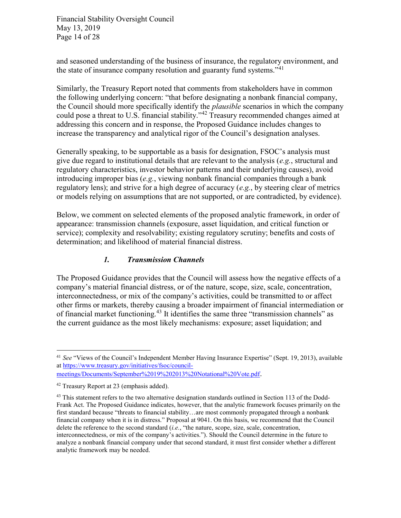Financial Stability Oversight Council May 13, 2019 Page 14 of 28

and seasoned understanding of the business of insurance, the regulatory environment, and the state of insurance company resolution and guaranty fund systems."<sup>41</sup>

Similarly, the Treasury Report noted that comments from stakeholders have in common the following underlying concern: "that before designating a nonbank financial company, the Council should more specifically identify the plausible scenarios in which the company could pose a threat to U.S. financial stability."<sup>42</sup> Treasury recommended changes aimed at addressing this concern and in response, the Proposed Guidance includes changes to increase the transparency and analytical rigor of the Council's designation analyses.

Generally speaking, to be supportable as a basis for designation, FSOC's analysis must give due regard to institutional details that are relevant to the analysis  $(e.g.,$  structural and regulatory characteristics, investor behavior patterns and their underlying causes), avoid introducing improper bias  $(e.g.,$  viewing nonbank financial companies through a bank regulatory lens); and strive for a high degree of accuracy  $(e.g.,\)$  by steering clear of metrics or models relying on assumptions that are not supported, or are contradicted, by evidence).

Below, we comment on selected elements of the proposed analytic framework, in order of appearance: transmission channels (exposure, asset liquidation, and critical function or service); complexity and resolvability; existing regulatory scrutiny; benefits and costs of determination; and likelihood of material financial distress.

#### 1. Transmission Channels

The Proposed Guidance provides that the Council will assess how the negative effects of a company's material financial distress, or of the nature, scope, size, scale, concentration, interconnectedness, or mix of the company's activities, could be transmitted to or affect other firms or markets, thereby causing a broader impairment of financial intermediation or of financial market functioning.<sup>43</sup> It identifies the same three "transmission channels" as the current guidance as the most likely mechanisms: exposure; asset liquidation; and

<sup>&</sup>lt;sup>41</sup> See "Views of the Council's Independent Member Having Insurance Expertise" (Sept. 19, 2013), available at https://www.treasury.gov/initiatives/fsoc/councilmeetings/Documents/September%2019%202013%20Notational%20Vote.pdf.

<sup>42</sup> Treasury Report at 23 (emphasis added).

<sup>&</sup>lt;sup>43</sup> This statement refers to the two alternative designation standards outlined in Section 113 of the Dodd-Frank Act. The Proposed Guidance indicates, however, that the analytic framework focuses primarily on the first standard because "threats to financial stability…are most commonly propagated through a nonbank financial company when it is in distress." Proposal at 9041. On this basis, we recommend that the Council delete the reference to the second standard (i.e., "the nature, scope, size, scale, concentration, interconnectedness, or mix of the company's activities."). Should the Council determine in the future to analyze a nonbank financial company under that second standard, it must first consider whether a different analytic framework may be needed.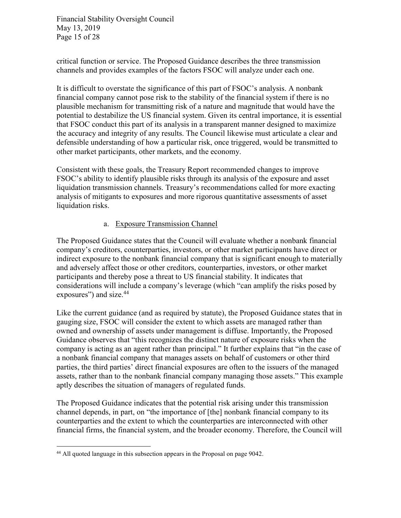Financial Stability Oversight Council May 13, 2019 Page 15 of 28

critical function or service. The Proposed Guidance describes the three transmission channels and provides examples of the factors FSOC will analyze under each one.

It is difficult to overstate the significance of this part of FSOC's analysis. A nonbank financial company cannot pose risk to the stability of the financial system if there is no plausible mechanism for transmitting risk of a nature and magnitude that would have the potential to destabilize the US financial system. Given its central importance, it is essential that FSOC conduct this part of its analysis in a transparent manner designed to maximize the accuracy and integrity of any results. The Council likewise must articulate a clear and defensible understanding of how a particular risk, once triggered, would be transmitted to other market participants, other markets, and the economy.

Consistent with these goals, the Treasury Report recommended changes to improve FSOC's ability to identify plausible risks through its analysis of the exposure and asset liquidation transmission channels. Treasury's recommendations called for more exacting analysis of mitigants to exposures and more rigorous quantitative assessments of asset liquidation risks.

#### a. Exposure Transmission Channel

The Proposed Guidance states that the Council will evaluate whether a nonbank financial company's creditors, counterparties, investors, or other market participants have direct or indirect exposure to the nonbank financial company that is significant enough to materially and adversely affect those or other creditors, counterparties, investors, or other market participants and thereby pose a threat to US financial stability. It indicates that considerations will include a company's leverage (which "can amplify the risks posed by exposures") and size.<sup>44</sup>

Like the current guidance (and as required by statute), the Proposed Guidance states that in gauging size, FSOC will consider the extent to which assets are managed rather than owned and ownership of assets under management is diffuse. Importantly, the Proposed Guidance observes that "this recognizes the distinct nature of exposure risks when the company is acting as an agent rather than principal." It further explains that "in the case of a nonbank financial company that manages assets on behalf of customers or other third parties, the third parties' direct financial exposures are often to the issuers of the managed assets, rather than to the nonbank financial company managing those assets." This example aptly describes the situation of managers of regulated funds.

The Proposed Guidance indicates that the potential risk arising under this transmission channel depends, in part, on "the importance of [the] nonbank financial company to its counterparties and the extent to which the counterparties are interconnected with other financial firms, the financial system, and the broader economy. Therefore, the Council will

<sup>44</sup> All quoted language in this subsection appears in the Proposal on page 9042.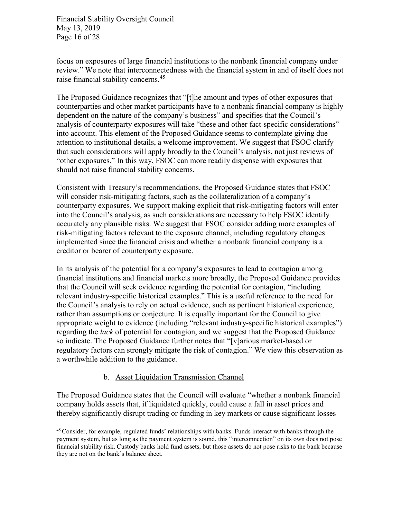Financial Stability Oversight Council May 13, 2019 Page 16 of 28

focus on exposures of large financial institutions to the nonbank financial company under review." We note that interconnectedness with the financial system in and of itself does not raise financial stability concerns.<sup>45</sup>

The Proposed Guidance recognizes that "[t]he amount and types of other exposures that counterparties and other market participants have to a nonbank financial company is highly dependent on the nature of the company's business" and specifies that the Council's analysis of counterparty exposures will take "these and other fact-specific considerations" into account. This element of the Proposed Guidance seems to contemplate giving due attention to institutional details, a welcome improvement. We suggest that FSOC clarify that such considerations will apply broadly to the Council's analysis, not just reviews of "other exposures." In this way, FSOC can more readily dispense with exposures that should not raise financial stability concerns.

Consistent with Treasury's recommendations, the Proposed Guidance states that FSOC will consider risk-mitigating factors, such as the collateralization of a company's counterparty exposures. We support making explicit that risk-mitigating factors will enter into the Council's analysis, as such considerations are necessary to help FSOC identify accurately any plausible risks. We suggest that FSOC consider adding more examples of risk-mitigating factors relevant to the exposure channel, including regulatory changes implemented since the financial crisis and whether a nonbank financial company is a creditor or bearer of counterparty exposure.

In its analysis of the potential for a company's exposures to lead to contagion among financial institutions and financial markets more broadly, the Proposed Guidance provides that the Council will seek evidence regarding the potential for contagion, "including relevant industry-specific historical examples." This is a useful reference to the need for the Council's analysis to rely on actual evidence, such as pertinent historical experience, rather than assumptions or conjecture. It is equally important for the Council to give appropriate weight to evidence (including "relevant industry-specific historical examples") regarding the *lack* of potential for contagion, and we suggest that the Proposed Guidance so indicate. The Proposed Guidance further notes that "[v]arious market-based or regulatory factors can strongly mitigate the risk of contagion." We view this observation as a worthwhile addition to the guidance.

#### b. Asset Liquidation Transmission Channel

 $\overline{a}$ 

The Proposed Guidance states that the Council will evaluate "whether a nonbank financial company holds assets that, if liquidated quickly, could cause a fall in asset prices and thereby significantly disrupt trading or funding in key markets or cause significant losses

<sup>45</sup>Consider, for example, regulated funds' relationships with banks. Funds interact with banks through the payment system, but as long as the payment system is sound, this "interconnection" on its own does not pose financial stability risk. Custody banks hold fund assets, but those assets do not pose risks to the bank because they are not on the bank's balance sheet.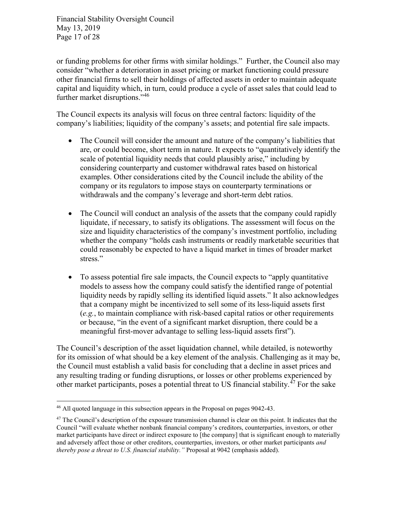Financial Stability Oversight Council May 13, 2019 Page 17 of 28

or funding problems for other firms with similar holdings." Further, the Council also may consider "whether a deterioration in asset pricing or market functioning could pressure other financial firms to sell their holdings of affected assets in order to maintain adequate capital and liquidity which, in turn, could produce a cycle of asset sales that could lead to further market disruptions."<sup>46</sup>

The Council expects its analysis will focus on three central factors: liquidity of the company's liabilities; liquidity of the company's assets; and potential fire sale impacts.

- The Council will consider the amount and nature of the company's liabilities that are, or could become, short term in nature. It expects to "quantitatively identify the scale of potential liquidity needs that could plausibly arise," including by considering counterparty and customer withdrawal rates based on historical examples. Other considerations cited by the Council include the ability of the company or its regulators to impose stays on counterparty terminations or withdrawals and the company's leverage and short-term debt ratios.
- The Council will conduct an analysis of the assets that the company could rapidly liquidate, if necessary, to satisfy its obligations. The assessment will focus on the size and liquidity characteristics of the company's investment portfolio, including whether the company "holds cash instruments or readily marketable securities that could reasonably be expected to have a liquid market in times of broader market stress."
- To assess potential fire sale impacts, the Council expects to "apply quantitative models to assess how the company could satisfy the identified range of potential liquidity needs by rapidly selling its identified liquid assets." It also acknowledges that a company might be incentivized to sell some of its less-liquid assets first (e.g., to maintain compliance with risk-based capital ratios or other requirements or because, "in the event of a significant market disruption, there could be a meaningful first-mover advantage to selling less-liquid assets first").

The Council's description of the asset liquidation channel, while detailed, is noteworthy for its omission of what should be a key element of the analysis. Challenging as it may be, the Council must establish a valid basis for concluding that a decline in asset prices and any resulting trading or funding disruptions, or losses or other problems experienced by other market participants, poses a potential threat to US financial stability.<sup>47</sup> For the sake

<sup>&</sup>lt;sup>46</sup> All quoted language in this subsection appears in the Proposal on pages 9042-43.

<sup>&</sup>lt;sup>47</sup> The Council's description of the exposure transmission channel is clear on this point. It indicates that the Council "will evaluate whether nonbank financial company's creditors, counterparties, investors, or other market participants have direct or indirect exposure to [the company] that is significant enough to materially and adversely affect those or other creditors, counterparties, investors, or other market participants and thereby pose a threat to U.S. financial stability." Proposal at 9042 (emphasis added).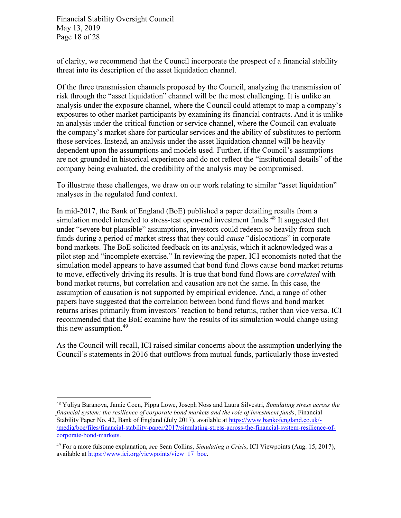Financial Stability Oversight Council May 13, 2019 Page 18 of 28

 $\overline{a}$ 

of clarity, we recommend that the Council incorporate the prospect of a financial stability threat into its description of the asset liquidation channel.

Of the three transmission channels proposed by the Council, analyzing the transmission of risk through the "asset liquidation" channel will be the most challenging. It is unlike an analysis under the exposure channel, where the Council could attempt to map a company's exposures to other market participants by examining its financial contracts. And it is unlike an analysis under the critical function or service channel, where the Council can evaluate the company's market share for particular services and the ability of substitutes to perform those services. Instead, an analysis under the asset liquidation channel will be heavily dependent upon the assumptions and models used. Further, if the Council's assumptions are not grounded in historical experience and do not reflect the "institutional details" of the company being evaluated, the credibility of the analysis may be compromised.

To illustrate these challenges, we draw on our work relating to similar "asset liquidation" analyses in the regulated fund context.

In mid-2017, the Bank of England (BoE) published a paper detailing results from a simulation model intended to stress-test open-end investment funds.<sup>48</sup> It suggested that under "severe but plausible" assumptions, investors could redeem so heavily from such funds during a period of market stress that they could cause "dislocations" in corporate bond markets. The BoE solicited feedback on its analysis, which it acknowledged was a pilot step and "incomplete exercise." In reviewing the paper, ICI economists noted that the simulation model appears to have assumed that bond fund flows cause bond market returns to move, effectively driving its results. It is true that bond fund flows are *correlated* with bond market returns, but correlation and causation are not the same. In this case, the assumption of causation is not supported by empirical evidence. And, a range of other papers have suggested that the correlation between bond fund flows and bond market returns arises primarily from investors' reaction to bond returns, rather than vice versa. ICI recommended that the BoE examine how the results of its simulation would change using this new assumption.<sup>49</sup>

As the Council will recall, ICI raised similar concerns about the assumption underlying the Council's statements in 2016 that outflows from mutual funds, particularly those invested

<sup>&</sup>lt;sup>48</sup> Yuliya Baranova, Jamie Coen, Pippa Lowe, Joseph Noss and Laura Silvestri, Simulating stress across the financial system: the resilience of corporate bond markets and the role of investment funds, Financial Stability Paper No. 42, Bank of England (July 2017), available at https://www.bankofengland.co.uk/- /media/boe/files/financial-stability-paper/2017/simulating-stress-across-the-financial-system-resilience-ofcorporate-bond-markets.

<sup>&</sup>lt;sup>49</sup> For a more fulsome explanation, see Sean Collins, Simulating a Crisis, ICI Viewpoints (Aug. 15, 2017), available at https://www.ici.org/viewpoints/view\_17\_boe.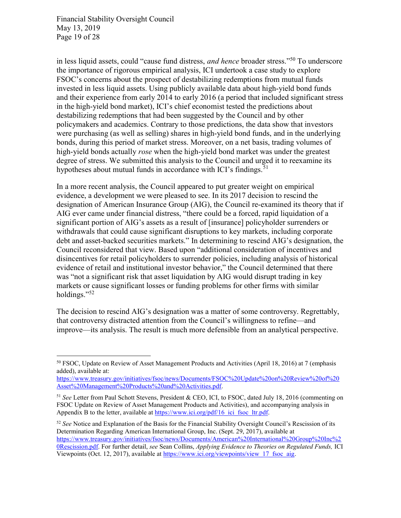Financial Stability Oversight Council May 13, 2019 Page 19 of 28

 $\overline{a}$ 

in less liquid assets, could "cause fund distress, *and hence* broader stress."<sup>50</sup> To underscore the importance of rigorous empirical analysis, ICI undertook a case study to explore FSOC's concerns about the prospect of destabilizing redemptions from mutual funds invested in less liquid assets. Using publicly available data about high-yield bond funds and their experience from early 2014 to early 2016 (a period that included significant stress in the high-yield bond market), ICI's chief economist tested the predictions about destabilizing redemptions that had been suggested by the Council and by other policymakers and academics. Contrary to those predictions, the data show that investors were purchasing (as well as selling) shares in high-yield bond funds, and in the underlying bonds, during this period of market stress. Moreover, on a net basis, trading volumes of high-yield bonds actually rose when the high-yield bond market was under the greatest degree of stress. We submitted this analysis to the Council and urged it to reexamine its hypotheses about mutual funds in accordance with ICI's findings.<sup>51</sup>

In a more recent analysis, the Council appeared to put greater weight on empirical evidence, a development we were pleased to see. In its 2017 decision to rescind the designation of American Insurance Group (AIG), the Council re-examined its theory that if AIG ever came under financial distress, "there could be a forced, rapid liquidation of a significant portion of AIG's assets as a result of [insurance] policyholder surrenders or withdrawals that could cause significant disruptions to key markets, including corporate debt and asset-backed securities markets." In determining to rescind AIG's designation, the Council reconsidered that view. Based upon "additional consideration of incentives and disincentives for retail policyholders to surrender policies, including analysis of historical evidence of retail and institutional investor behavior," the Council determined that there was "not a significant risk that asset liquidation by AIG would disrupt trading in key markets or cause significant losses or funding problems for other firms with similar holdings."<sup>52</sup>

The decision to rescind AIG's designation was a matter of some controversy. Regrettably, that controversy distracted attention from the Council's willingness to refine—and improve—its analysis. The result is much more defensible from an analytical perspective.

<sup>52</sup> See Notice and Explanation of the Basis for the Financial Stability Oversight Council's Rescission of its Determination Regarding American International Group, Inc. (Sept. 29, 2017), available at https://www.treasury.gov/initiatives/fsoc/news/Documents/American%20International%20Group%20Inc%2 0Rescission.pdf. For further detail, see Sean Collins, Applying Evidence to Theories on Regulated Funds, ICI Viewpoints (Oct. 12, 2017), available at https://www.ici.org/viewpoints/view\_17\_fsoc\_aig.

<sup>50</sup> FSOC, Update on Review of Asset Management Products and Activities (April 18, 2016) at 7 (emphasis added), available at:

https://www.treasury.gov/initiatives/fsoc/news/Documents/FSOC%20Update%20on%20Review%20of%20 Asset%20Management%20Products%20and%20Activities.pdf.

<sup>&</sup>lt;sup>51</sup> See Letter from Paul Schott Stevens, President & CEO, ICI, to FSOC, dated July 18, 2016 (commenting on FSOC Update on Review of Asset Management Products and Activities), and accompanying analysis in Appendix B to the letter, available at https://www.ici.org/pdf/16 ici fsoc\_ltr.pdf.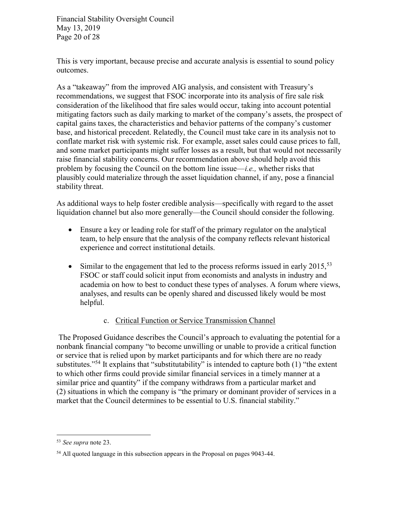Financial Stability Oversight Council May 13, 2019 Page 20 of 28

This is very important, because precise and accurate analysis is essential to sound policy outcomes.

As a "takeaway" from the improved AIG analysis, and consistent with Treasury's recommendations, we suggest that FSOC incorporate into its analysis of fire sale risk consideration of the likelihood that fire sales would occur, taking into account potential mitigating factors such as daily marking to market of the company's assets, the prospect of capital gains taxes, the characteristics and behavior patterns of the company's customer base, and historical precedent. Relatedly, the Council must take care in its analysis not to conflate market risk with systemic risk. For example, asset sales could cause prices to fall, and some market participants might suffer losses as a result, but that would not necessarily raise financial stability concerns. Our recommendation above should help avoid this problem by focusing the Council on the bottom line issue—*i.e.*, whether risks that plausibly could materialize through the asset liquidation channel, if any, pose a financial stability threat.

As additional ways to help foster credible analysis—specifically with regard to the asset liquidation channel but also more generally—the Council should consider the following.

- Ensure a key or leading role for staff of the primary regulator on the analytical team, to help ensure that the analysis of the company reflects relevant historical experience and correct institutional details.
- $\bullet$  Similar to the engagement that led to the process reforms issued in early 2015,<sup>53</sup> FSOC or staff could solicit input from economists and analysts in industry and academia on how to best to conduct these types of analyses. A forum where views, analyses, and results can be openly shared and discussed likely would be most helpful.

#### c. Critical Function or Service Transmission Channel

 The Proposed Guidance describes the Council's approach to evaluating the potential for a nonbank financial company "to become unwilling or unable to provide a critical function or service that is relied upon by market participants and for which there are no ready substitutes."<sup>54</sup> It explains that "substitutability" is intended to capture both  $(1)$  "the extent" to which other firms could provide similar financial services in a timely manner at a similar price and quantity" if the company withdraws from a particular market and (2) situations in which the company is "the primary or dominant provider of services in a market that the Council determines to be essential to U.S. financial stability."

<sup>53</sup> See supra note 23.

<sup>54</sup> All quoted language in this subsection appears in the Proposal on pages 9043-44.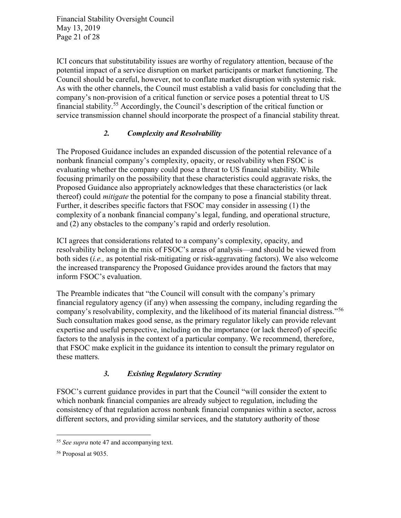Financial Stability Oversight Council May 13, 2019 Page 21 of 28

ICI concurs that substitutability issues are worthy of regulatory attention, because of the potential impact of a service disruption on market participants or market functioning. The Council should be careful, however, not to conflate market disruption with systemic risk. As with the other channels, the Council must establish a valid basis for concluding that the company's non-provision of a critical function or service poses a potential threat to US financial stability.<sup>55</sup> Accordingly, the Council's description of the critical function or service transmission channel should incorporate the prospect of a financial stability threat.

## 2. Complexity and Resolvability

The Proposed Guidance includes an expanded discussion of the potential relevance of a nonbank financial company's complexity, opacity, or resolvability when FSOC is evaluating whether the company could pose a threat to US financial stability. While focusing primarily on the possibility that these characteristics could aggravate risks, the Proposed Guidance also appropriately acknowledges that these characteristics (or lack thereof) could *mitigate* the potential for the company to pose a financial stability threat. Further, it describes specific factors that FSOC may consider in assessing (1) the complexity of a nonbank financial company's legal, funding, and operational structure, and (2) any obstacles to the company's rapid and orderly resolution.

ICI agrees that considerations related to a company's complexity, opacity, and resolvability belong in the mix of FSOC's areas of analysis—and should be viewed from both sides (i.e., as potential risk-mitigating or risk-aggravating factors). We also welcome the increased transparency the Proposed Guidance provides around the factors that may inform FSOC's evaluation.

The Preamble indicates that "the Council will consult with the company's primary financial regulatory agency (if any) when assessing the company, including regarding the company's resolvability, complexity, and the likelihood of its material financial distress."<sup>56</sup> Such consultation makes good sense, as the primary regulator likely can provide relevant expertise and useful perspective, including on the importance (or lack thereof) of specific factors to the analysis in the context of a particular company. We recommend, therefore, that FSOC make explicit in the guidance its intention to consult the primary regulator on these matters.

## 3. Existing Regulatory Scrutiny

FSOC's current guidance provides in part that the Council "will consider the extent to which nonbank financial companies are already subject to regulation, including the consistency of that regulation across nonbank financial companies within a sector, across different sectors, and providing similar services, and the statutory authority of those

<sup>&</sup>lt;sup>55</sup> See supra note 47 and accompanying text.

<sup>56</sup> Proposal at 9035.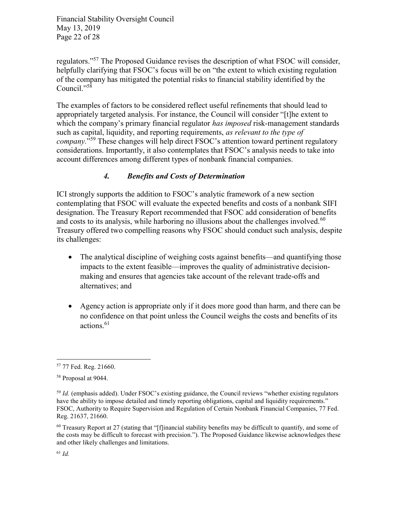Financial Stability Oversight Council May 13, 2019 Page 22 of 28

regulators."<sup>57</sup> The Proposed Guidance revises the description of what FSOC will consider, helpfully clarifying that FSOC's focus will be on "the extent to which existing regulation of the company has mitigated the potential risks to financial stability identified by the Council."<sup>58</sup>

The examples of factors to be considered reflect useful refinements that should lead to appropriately targeted analysis. For instance, the Council will consider "[t]he extent to which the company's primary financial regulator has imposed risk-management standards such as capital, liquidity, and reporting requirements, as relevant to the type of company."<sup>59</sup> These changes will help direct FSOC's attention toward pertinent regulatory considerations. Importantly, it also contemplates that FSOC's analysis needs to take into account differences among different types of nonbank financial companies.

#### 4. Benefits and Costs of Determination

ICI strongly supports the addition to FSOC's analytic framework of a new section contemplating that FSOC will evaluate the expected benefits and costs of a nonbank SIFI designation. The Treasury Report recommended that FSOC add consideration of benefits and costs to its analysis, while harboring no illusions about the challenges involved. $60$ Treasury offered two compelling reasons why FSOC should conduct such analysis, despite its challenges:

- The analytical discipline of weighing costs against benefits—and quantifying those impacts to the extent feasible—improves the quality of administrative decisionmaking and ensures that agencies take account of the relevant trade-offs and alternatives; and
- Agency action is appropriate only if it does more good than harm, and there can be no confidence on that point unless the Council weighs the costs and benefits of its actions.<sup>61</sup>

<sup>57</sup> 77 Fed. Reg. 21660.

<sup>58</sup> Proposal at 9044.

 $59$  *Id.* (emphasis added). Under FSOC's existing guidance, the Council reviews "whether existing regulators" have the ability to impose detailed and timely reporting obligations, capital and liquidity requirements." FSOC, Authority to Require Supervision and Regulation of Certain Nonbank Financial Companies, 77 Fed. Reg. 21637, 21660.

 $60$  Treasury Report at 27 (stating that "[f]inancial stability benefits may be difficult to quantify, and some of the costs may be difficult to forecast with precision."). The Proposed Guidance likewise acknowledges these and other likely challenges and limitations.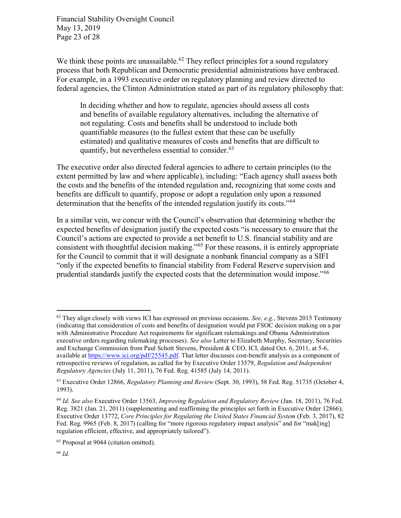Financial Stability Oversight Council May 13, 2019 Page 23 of 28

We think these points are unassailable.<sup>62</sup> They reflect principles for a sound regulatory process that both Republican and Democratic presidential administrations have embraced. For example, in a 1993 executive order on regulatory planning and review directed to federal agencies, the Clinton Administration stated as part of its regulatory philosophy that:

In deciding whether and how to regulate, agencies should assess all costs and benefits of available regulatory alternatives, including the alternative of not regulating. Costs and benefits shall be understood to include both quantifiable measures (to the fullest extent that these can be usefully estimated) and qualitative measures of costs and benefits that are difficult to quantify, but nevertheless essential to consider.  $63$ 

The executive order also directed federal agencies to adhere to certain principles (to the extent permitted by law and where applicable), including: "Each agency shall assess both the costs and the benefits of the intended regulation and, recognizing that some costs and benefits are difficult to quantify, propose or adopt a regulation only upon a reasoned determination that the benefits of the intended regulation justify its costs."<sup>64</sup>

In a similar vein, we concur with the Council's observation that determining whether the expected benefits of designation justify the expected costs "is necessary to ensure that the Council's actions are expected to provide a net benefit to U.S. financial stability and are consistent with thoughtful decision making."<sup>65</sup> For these reasons, it is entirely appropriate for the Council to commit that it will designate a nonbank financial company as a SIFI "only if the expected benefits to financial stability from Federal Reserve supervision and prudential standards justify the expected costs that the determination would impose."<sup>66</sup>

 $62$  They align closely with views ICI has expressed on previous occasions. See, e.g., Stevens 2015 Testimony (indicating that consideration of costs and benefits of designation would put FSOC decision making on a par with Administrative Procedure Act requirements for significant rulemakings and Obama Administration executive orders regarding rulemaking processes). See also Letter to Elizabeth Murphy, Secretary, Securities and Exchange Commission from Paul Schott Stevens, President & CEO, ICI, dated Oct. 6, 2011, at 5-6, available at https://www.ici.org/pdf/25545.pdf. That letter discusses cost-benefit analysis as a component of retrospective reviews of regulation, as called for by Executive Order 13579, Regulation and Independent Regulatory Agencies (July 11, 2011), 76 Fed. Reg. 41585 (July 14, 2011).

<sup>63</sup> Executive Order 12866, Regulatory Planning and Review (Sept. 30, 1993), 58 Fed. Reg. 51735 (October 4, 1993).

<sup>&</sup>lt;sup>64</sup> Id. See also Executive Order 13563, Improving Regulation and Regulatory Review (Jan. 18, 2011), 76 Fed. Reg. 3821 (Jan. 21, 2011) (supplementing and reaffirming the principles set forth in Executive Order 12866); Executive Order 13772, Core Principles for Regulating the United States Financial System (Feb. 3, 2017), 82 Fed. Reg. 9965 (Feb. 8, 2017) (calling for "more rigorous regulatory impact analysis" and for "mak[ing] regulation efficient, effective, and appropriately tailored").

<sup>65</sup> Proposal at 9044 (citation omitted).

<sup>66</sup> Id.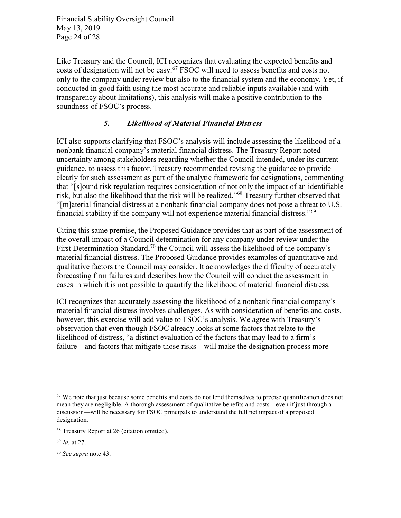Financial Stability Oversight Council May 13, 2019 Page 24 of 28

Like Treasury and the Council, ICI recognizes that evaluating the expected benefits and costs of designation will not be easy.<sup>67</sup> FSOC will need to assess benefits and costs not only to the company under review but also to the financial system and the economy. Yet, if conducted in good faith using the most accurate and reliable inputs available (and with transparency about limitations), this analysis will make a positive contribution to the soundness of FSOC's process.

### 5. Likelihood of Material Financial Distress

ICI also supports clarifying that FSOC's analysis will include assessing the likelihood of a nonbank financial company's material financial distress. The Treasury Report noted uncertainty among stakeholders regarding whether the Council intended, under its current guidance, to assess this factor. Treasury recommended revising the guidance to provide clearly for such assessment as part of the analytic framework for designations, commenting that "[s]ound risk regulation requires consideration of not only the impact of an identifiable risk, but also the likelihood that the risk will be realized."<sup>68</sup> Treasury further observed that "[m]aterial financial distress at a nonbank financial company does not pose a threat to U.S. financial stability if the company will not experience material financial distress."<sup>69</sup>

Citing this same premise, the Proposed Guidance provides that as part of the assessment of the overall impact of a Council determination for any company under review under the First Determination Standard,<sup>70</sup> the Council will assess the likelihood of the company's material financial distress. The Proposed Guidance provides examples of quantitative and qualitative factors the Council may consider. It acknowledges the difficulty of accurately forecasting firm failures and describes how the Council will conduct the assessment in cases in which it is not possible to quantify the likelihood of material financial distress.

ICI recognizes that accurately assessing the likelihood of a nonbank financial company's material financial distress involves challenges. As with consideration of benefits and costs, however, this exercise will add value to FSOC's analysis. We agree with Treasury's observation that even though FSOC already looks at some factors that relate to the likelihood of distress, "a distinct evaluation of the factors that may lead to a firm's failure—and factors that mitigate those risks—will make the designation process more

 $67$  We note that just because some benefits and costs do not lend themselves to precise quantification does not mean they are negligible. A thorough assessment of qualitative benefits and costs—even if just through a discussion—will be necessary for FSOC principals to understand the full net impact of a proposed designation.

<sup>68</sup> Treasury Report at 26 (citation omitted).

<sup>69</sup> Id. at 27.

<sup>70</sup> See supra note 43.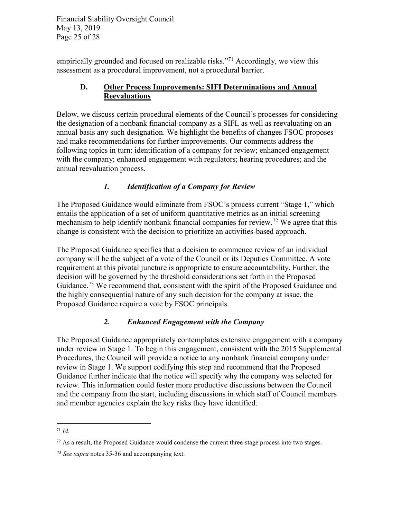Financial Stability Oversight Council May 13, 2019 Page 25 of 28

empirically grounded and focused on realizable risks."<sup>71</sup> Accordingly, we view this assessment as a procedural improvement, not a procedural barrier.

### D. Other Process Improvements: SIFI Determinations and Annual **Reevaluations**

Below, we discuss certain procedural elements of the Council's processes for considering the designation of a nonbank financial company as a SIFI, as well as reevaluating on an annual basis any such designation. We highlight the benefits of changes FSOC proposes and make recommendations for further improvements. Our comments address the following topics in turn: identification of a company for review; enhanced engagement with the company; enhanced engagement with regulators; hearing procedures; and the annual reevaluation process.

## 1. Identification of a Company for Review

The Proposed Guidance would eliminate from FSOC's process current "Stage 1," which entails the application of a set of uniform quantitative metrics as an initial screening mechanism to help identify nonbank financial companies for review.<sup>72</sup> We agree that this change is consistent with the decision to prioritize an activities-based approach.

The Proposed Guidance specifies that a decision to commence review of an individual company will be the subject of a vote of the Council or its Deputies Committee. A vote requirement at this pivotal juncture is appropriate to ensure accountability. Further, the decision will be governed by the threshold considerations set forth in the Proposed Guidance.<sup>73</sup> We recommend that, consistent with the spirit of the Proposed Guidance and the highly consequential nature of any such decision for the company at issue, the Proposed Guidance require a vote by FSOC principals.

# 2. Enhanced Engagement with the Company

The Proposed Guidance appropriately contemplates extensive engagement with a company under review in Stage 1. To begin this engagement, consistent with the 2015 Supplemental Procedures, the Council will provide a notice to any nonbank financial company under review in Stage 1. We support codifying this step and recommend that the Proposed Guidance further indicate that the notice will specify why the company was selected for review. This information could foster more productive discussions between the Council and the company from the start, including discussions in which staff of Council members and member agencies explain the key risks they have identified.

 $\overline{a}$  $71$  Id.

<sup>&</sup>lt;sup>72</sup> As a result, the Proposed Guidance would condense the current three-stage process into two stages.

<sup>73</sup> See supra notes 35-36 and accompanying text.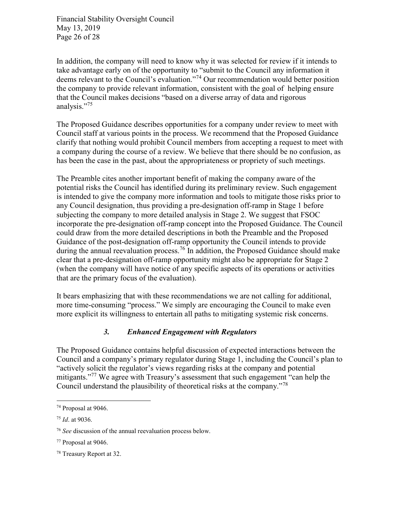Financial Stability Oversight Council May 13, 2019 Page 26 of 28

In addition, the company will need to know why it was selected for review if it intends to take advantage early on of the opportunity to "submit to the Council any information it deems relevant to the Council's evaluation."<sup>74</sup> Our recommendation would better position the company to provide relevant information, consistent with the goal of helping ensure that the Council makes decisions "based on a diverse array of data and rigorous analysis."<sup>75</sup>

The Proposed Guidance describes opportunities for a company under review to meet with Council staff at various points in the process. We recommend that the Proposed Guidance clarify that nothing would prohibit Council members from accepting a request to meet with a company during the course of a review. We believe that there should be no confusion, as has been the case in the past, about the appropriateness or propriety of such meetings.

The Preamble cites another important benefit of making the company aware of the potential risks the Council has identified during its preliminary review. Such engagement is intended to give the company more information and tools to mitigate those risks prior to any Council designation, thus providing a pre-designation off-ramp in Stage 1 before subjecting the company to more detailed analysis in Stage 2. We suggest that FSOC incorporate the pre-designation off-ramp concept into the Proposed Guidance. The Council could draw from the more detailed descriptions in both the Preamble and the Proposed Guidance of the post-designation off-ramp opportunity the Council intends to provide during the annual reevaluation process.<sup>76</sup> In addition, the Proposed Guidance should make clear that a pre-designation off-ramp opportunity might also be appropriate for Stage 2 (when the company will have notice of any specific aspects of its operations or activities that are the primary focus of the evaluation).

It bears emphasizing that with these recommendations we are not calling for additional, more time-consuming "process." We simply are encouraging the Council to make even more explicit its willingness to entertain all paths to mitigating systemic risk concerns.

#### 3. Enhanced Engagement with Regulators

The Proposed Guidance contains helpful discussion of expected interactions between the Council and a company's primary regulator during Stage 1, including the Council's plan to "actively solicit the regulator's views regarding risks at the company and potential mitigants."<sup>77</sup> We agree with Treasury's assessment that such engagement "can help the Council understand the plausibility of theoretical risks at the company."<sup>78</sup>

<sup>74</sup> Proposal at 9046.

<sup>75</sup> Id. at 9036.

<sup>&</sup>lt;sup>76</sup> See discussion of the annual reevaluation process below.

<sup>77</sup> Proposal at 9046.

<sup>78</sup> Treasury Report at 32.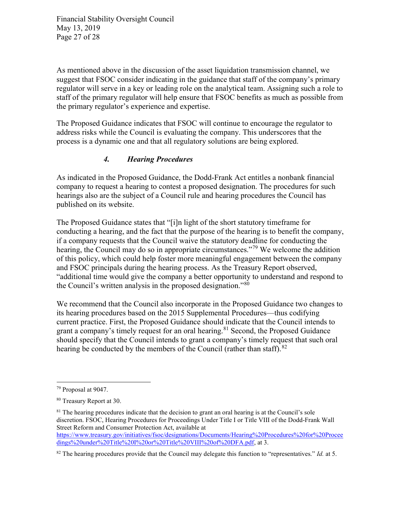Financial Stability Oversight Council May 13, 2019 Page 27 of 28

As mentioned above in the discussion of the asset liquidation transmission channel, we suggest that FSOC consider indicating in the guidance that staff of the company's primary regulator will serve in a key or leading role on the analytical team. Assigning such a role to staff of the primary regulator will help ensure that FSOC benefits as much as possible from the primary regulator's experience and expertise.

The Proposed Guidance indicates that FSOC will continue to encourage the regulator to address risks while the Council is evaluating the company. This underscores that the process is a dynamic one and that all regulatory solutions are being explored.

### 4. Hearing Procedures

As indicated in the Proposed Guidance, the Dodd-Frank Act entitles a nonbank financial company to request a hearing to contest a proposed designation. The procedures for such hearings also are the subject of a Council rule and hearing procedures the Council has published on its website.

The Proposed Guidance states that "[i]n light of the short statutory timeframe for conducting a hearing, and the fact that the purpose of the hearing is to benefit the company, if a company requests that the Council waive the statutory deadline for conducting the hearing, the Council may do so in appropriate circumstances.<sup>"79</sup> We welcome the addition of this policy, which could help foster more meaningful engagement between the company and FSOC principals during the hearing process. As the Treasury Report observed, "additional time would give the company a better opportunity to understand and respond to the Council's written analysis in the proposed designation."<sup>80</sup>

We recommend that the Council also incorporate in the Proposed Guidance two changes to its hearing procedures based on the 2015 Supplemental Procedures—thus codifying current practice. First, the Proposed Guidance should indicate that the Council intends to grant a company's timely request for an oral hearing.<sup>81</sup> Second, the Proposed Guidance should specify that the Council intends to grant a company's timely request that such oral hearing be conducted by the members of the Council (rather than staff).<sup>82</sup>

<sup>79</sup> Proposal at 9047.

<sup>80</sup> Treasury Report at 30.

 $81$  The hearing procedures indicate that the decision to grant an oral hearing is at the Council's sole discretion. FSOC, Hearing Procedures for Proceedings Under Title I or Title VIII of the Dodd-Frank Wall Street Reform and Consumer Protection Act, available at https://www.treasury.gov/initiatives/fsoc/designations/Documents/Hearing%20Procedures%20for%20Procee dings%20under%20Title%20I%20or%20Title%20VIII%20of%20DFA.pdf, at 3.

 $82$  The hearing procedures provide that the Council may delegate this function to "representatives." Id. at 5.